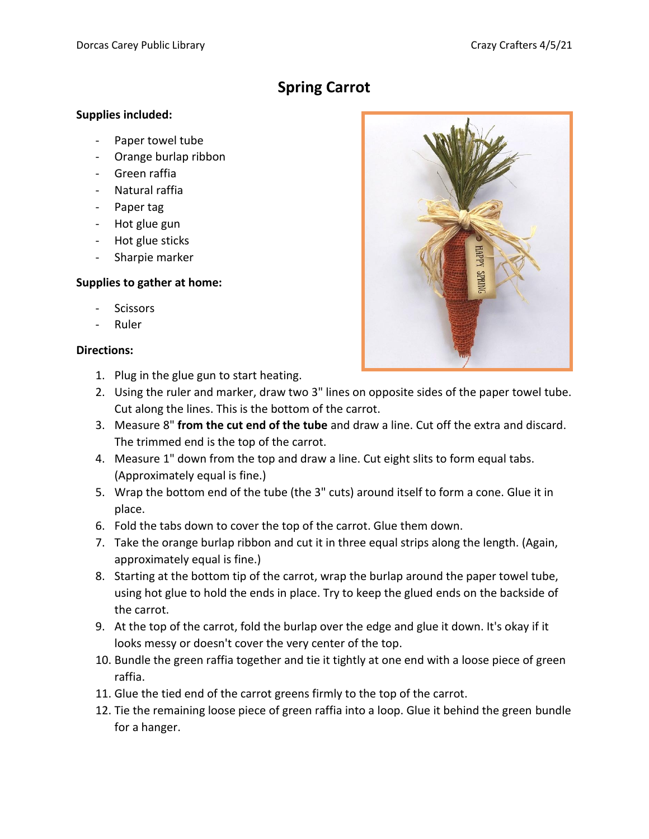## **Spring Carrot**

## **Supplies included:**

- Paper towel tube
- Orange burlap ribbon
- Green raffia
- Natural raffia
- Paper tag
- Hot glue gun
- Hot glue sticks
- Sharpie marker

## **Supplies to gather at home:**

- **Scissors**
- Ruler

## **Directions:**

- 1. Plug in the glue gun to start heating.
- 2. Using the ruler and marker, draw two 3" lines on opposite sides of the paper towel tube. Cut along the lines. This is the bottom of the carrot.
- 3. Measure 8" **from the cut end of the tube** and draw a line. Cut off the extra and discard. The trimmed end is the top of the carrot.
- 4. Measure 1" down from the top and draw a line. Cut eight slits to form equal tabs. (Approximately equal is fine.)
- 5. Wrap the bottom end of the tube (the 3" cuts) around itself to form a cone. Glue it in place.
- 6. Fold the tabs down to cover the top of the carrot. Glue them down.
- 7. Take the orange burlap ribbon and cut it in three equal strips along the length. (Again, approximately equal is fine.)
- 8. Starting at the bottom tip of the carrot, wrap the burlap around the paper towel tube, using hot glue to hold the ends in place. Try to keep the glued ends on the backside of the carrot.
- 9. At the top of the carrot, fold the burlap over the edge and glue it down. It's okay if it looks messy or doesn't cover the very center of the top.
- 10. Bundle the green raffia together and tie it tightly at one end with a loose piece of green raffia.
- 11. Glue the tied end of the carrot greens firmly to the top of the carrot.
- 12. Tie the remaining loose piece of green raffia into a loop. Glue it behind the green bundle for a hanger.